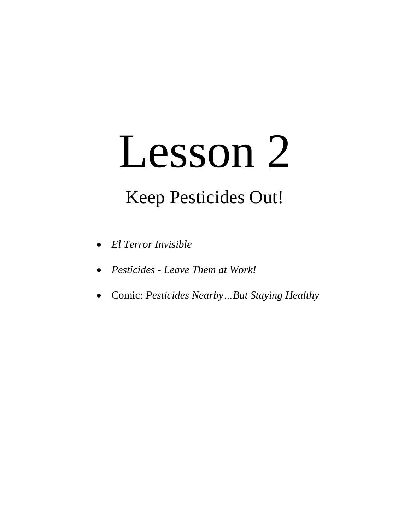# Lesson 2

## Keep Pesticides Out!

- *El Terror Invisible*
- *Pesticides - Leave Them at Work!*
- Comic: *Pesticides Nearby…But Staying Healthy*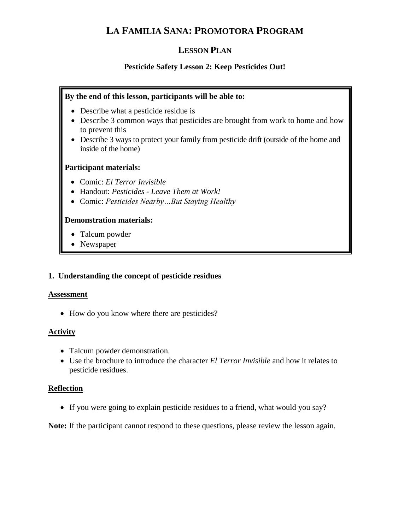### **LA FAMILIA SANA: PROMOTORA PROGRAM**

#### **LESSON PLAN**

#### **Pesticide Safety Lesson 2: Keep Pesticides Out!**

#### **By the end of this lesson, participants will be able to:**

- Describe what a pesticide residue is
- Describe 3 common ways that pesticides are brought from work to home and how to prevent this
- Describe 3 ways to protect your family from pesticide drift (outside of the home and inside of the home)

#### **Participant materials:**

- Comic: *El Terror Invisible*
- Handout: *Pesticides - Leave Them at Work!*
- Comic: *Pesticides Nearby…But Staying Healthy*

#### **Demonstration materials:**

- Talcum powder
- Newspaper

#### **1. Understanding the concept of pesticide residues**

#### **Assessment**

• How do you know where there are pesticides?

#### **Activity**

- Talcum powder demonstration.
- Use the brochure to introduce the character *El Terror Invisible* and how it relates to pesticide residues.

#### **Reflection**

If you were going to explain pesticide residues to a friend, what would you say?

**Note:** If the participant cannot respond to these questions, please review the lesson again.